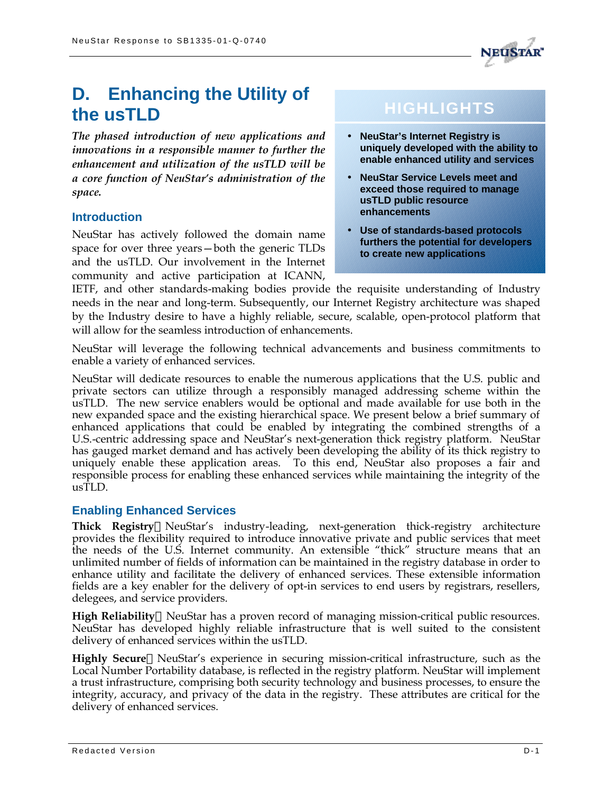

# **D. Enhancing the Utility of the usTLD**

*The phased introduction of new applications and innovations in a responsible manner to further the enhancement and utilization of the usTLD will be a core function of NeuStar's administration of the space.*

# **Introduction**

NeuStar has actively followed the domain name space for over three years—both the generic TLDs and the usTLD. Our involvement in the Internet community and active participation at ICANN,

# **HIGHLIGHTS**

- **NeuStar's Internet Registry is uniquely developed with the ability to enable enhanced utility and services**
- **NeuStar Service Levels meet and exceed those required to manage usTLD public resource enhancements**
- **Use of standards-based protocols furthers the potential for developers to create new applications**

IETF, and other standards-making bodies provide the requisite understanding of Industry needs in the near and long-term. Subsequently, our Internet Registry architecture was shaped by the Industry desire to have a highly reliable, secure, scalable, open-protocol platform that will allow for the seamless introduction of enhancements.

NeuStar will leverage the following technical advancements and business commitments to enable a variety of enhanced services.

NeuStar will dedicate resources to enable the numerous applications that the U.S. public and private sectors can utilize through a responsibly managed addressing scheme within the usTLD. The new service enablers would be optional and made available for use both in the new expanded space and the existing hierarchical space. We present below a brief summary of enhanced applications that could be enabled by integrating the combined strengths of a U.S.-centric addressing space and NeuStar's next-generation thick registry platform. NeuStar has gauged market demand and has actively been developing the ability of its thick registry to uniquely enable these application areas. To this end, NeuStar also proposes a fair and responsible process for enabling these enhanced services while maintaining the integrity of the  $\overline{\text{u}}\text{sT}$ LD.

# **Enabling Enhanced Services**

**Thick Registry**—NeuStar's industry-leading, next-generation thick-registry architecture provides the flexibility required to introduce innovative private and public services that meet the needs of the U.S. Internet community. An extensible "thick" structure means that an unlimited number of fields of information can be maintained in the registry database in order to enhance utility and facilitate the delivery of enhanced services. These extensible information fields are a key enabler for the delivery of opt-in services to end users by registrars, resellers, delegees, and service providers.

**High Reliability—NeuStar has a proven record of managing mission-critical public resources.** NeuStar has developed highly reliable infrastructure that is well suited to the consistent delivery of enhanced services within the usTLD.

**Highly Secure—NeuStar's experience in securing mission-critical infrastructure, such as the** Local Number Portability database, is reflected in the registry platform. NeuStar will implement a trust infrastructure, comprising both security technology and business processes, to ensure the integrity, accuracy, and privacy of the data in the registry. These attributes are critical for the delivery of enhanced services.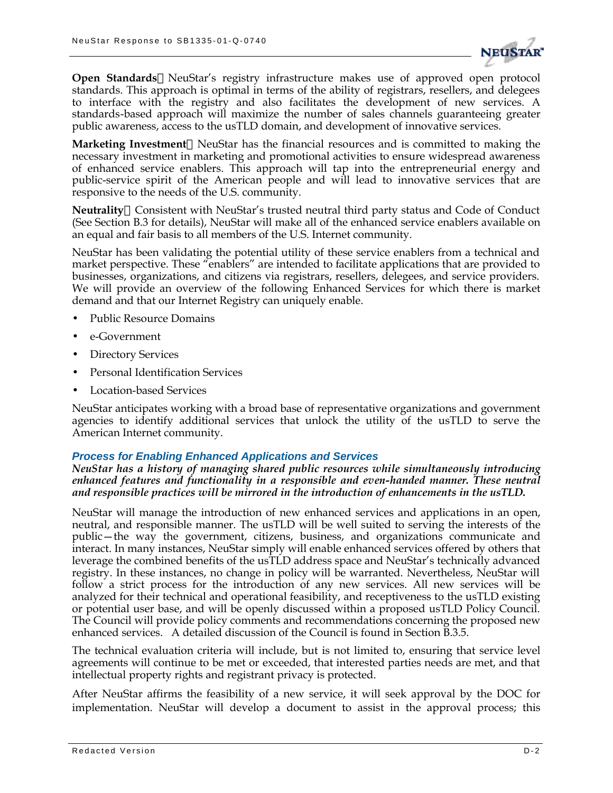

**Open Standards**—NeuStar's registry infrastructure makes use of approved open protocol standards. This approach is optimal in terms of the ability of registrars, resellers, and delegees to interface with the registry and also facilitates the development of new services. A standards-based approach will maximize the number of sales channels guaranteeing greater public awareness, access to the usTLD domain, and development of innovative services.

**Marketing Investment—NeuStar has the financial resources and is committed to making the** necessary investment in marketing and promotional activities to ensure widespread awareness of enhanced service enablers. This approach will tap into the entrepreneurial energy and public-service spirit of the American people and will lead to innovative services that are responsive to the needs of the U.S. community.

Neutrality-Consistent with NeuStar's trusted neutral third party status and Code of Conduct (See Section B.3 for details), NeuStar will make all of the enhanced service enablers available on an equal and fair basis to all members of the U.S. Internet community.

NeuStar has been validating the potential utility of these service enablers from a technical and market perspective. These "enablers" are intended to facilitate applications that are provided to businesses, organizations, and citizens via registrars, resellers, delegees, and service providers. We will provide an overview of the following Enhanced Services for which there is market demand and that our Internet Registry can uniquely enable.

- Public Resource Domains
- e-Government
- Directory Services
- Personal Identification Services
- Location-based Services

NeuStar anticipates working with a broad base of representative organizations and government agencies to identify additional services that unlock the utility of the usTLD to serve the American Internet community.

# *Process for Enabling Enhanced Applications and Services*

*NeuStar has a history of managing shared public resources while simultaneously introducing enhanced features and functionality in a responsible and even-handed manner. These neutral and responsible practices will be mirrored in the introduction of enhancements in the usTLD.*

NeuStar will manage the introduction of new enhanced services and applications in an open, neutral, and responsible manner. The usTLD will be well suited to serving the interests of the public—the way the government, citizens, business, and organizations communicate and interact. In many instances, NeuStar simply will enable enhanced services offered by others that leverage the combined benefits of the usTLD address space and NeuStar's technically advanced registry. In these instances, no change in policy will be warranted. Nevertheless, NeuStar will follow a strict process for the introduction of any new services. All new services will be analyzed for their technical and operational feasibility, and receptiveness to the usTLD existing or potential user base, and will be openly discussed within a proposed usTLD Policy Council. The Council will provide policy comments and recommendations concerning the proposed new enhanced services. A detailed discussion of the Council is found in Section B.3.5.

The technical evaluation criteria will include, but is not limited to, ensuring that service level agreements will continue to be met or exceeded, that interested parties needs are met, and that intellectual property rights and registrant privacy is protected.

After NeuStar affirms the feasibility of a new service, it will seek approval by the DOC for implementation. NeuStar will develop a document to assist in the approval process; this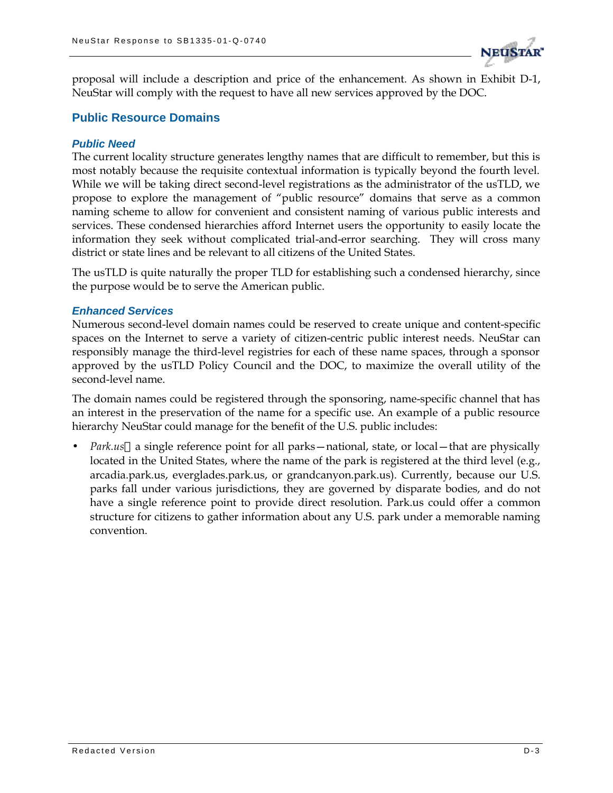

proposal will include a description and price of the enhancement. As shown in Exhibit D-1, NeuStar will comply with the request to have all new services approved by the DOC.

# **Public Resource Domains**

## *Public Need*

The current locality structure generates lengthy names that are difficult to remember, but this is most notably because the requisite contextual information is typically beyond the fourth level. While we will be taking direct second-level registrations as the administrator of the usTLD, we propose to explore the management of "public resource" domains that serve as a common naming scheme to allow for convenient and consistent naming of various public interests and services. These condensed hierarchies afford Internet users the opportunity to easily locate the information they seek without complicated trial-and-error searching. They will cross many district or state lines and be relevant to all citizens of the United States.

The usTLD is quite naturally the proper TLD for establishing such a condensed hierarchy, since the purpose would be to serve the American public.

## *Enhanced Services*

Numerous second-level domain names could be reserved to create unique and content-specific spaces on the Internet to serve a variety of citizen-centric public interest needs. NeuStar can responsibly manage the third-level registries for each of these name spaces, through a sponsor approved by the usTLD Policy Council and the DOC, to maximize the overall utility of the second-level name.

The domain names could be registered through the sponsoring, name-specific channel that has an interest in the preservation of the name for a specific use. An example of a public resource hierarchy NeuStar could manage for the benefit of the U.S. public includes:

*Park.us*—a single reference point for all parks—national, state, or local—that are physically located in the United States, where the name of the park is registered at the third level (e.g., arcadia.park.us, everglades.park.us, or grandcanyon.park.us). Currently, because our U.S. parks fall under various jurisdictions, they are governed by disparate bodies, and do not have a single reference point to provide direct resolution. Park.us could offer a common structure for citizens to gather information about any U.S. park under a memorable naming convention.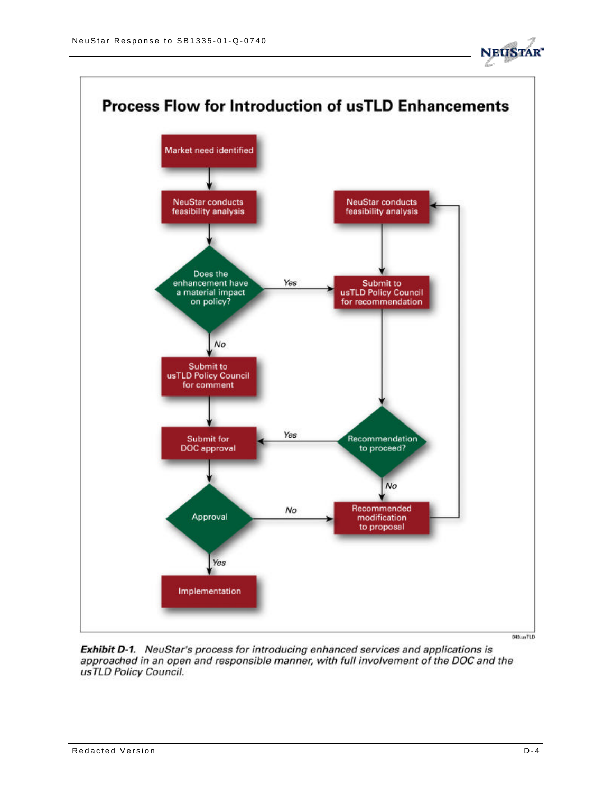



Exhibit D-1. NeuStar's process for introducing enhanced services and applications is approached in an open and responsible manner, with full involvement of the DOC and the usTLD Policy Council.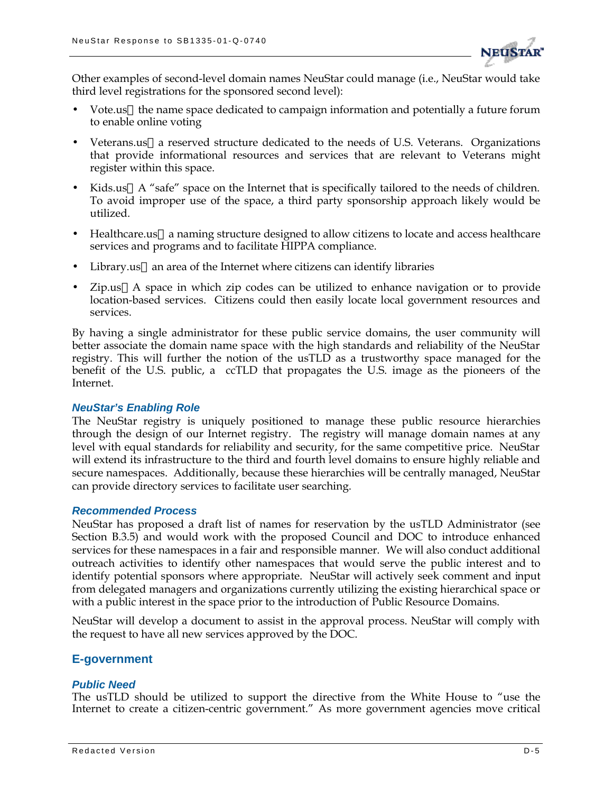

Other examples of second-level domain names NeuStar could manage (i.e., NeuStar would take third level registrations for the sponsored second level):

- Vote.us—the name space dedicated to campaign information and potentially a future forum to enable online voting
- Veterans.us—a reserved structure dedicated to the needs of U.S. Veterans. Organizations that provide informational resources and services that are relevant to Veterans might register within this space.
- Kids.us—A "safe" space on the Internet that is specifically tailored to the needs of children. To avoid improper use of the space, a third party sponsorship approach likely would be utilized.
- Healthcare.us—a naming structure designed to allow citizens to locate and access healthcare services and programs and to facilitate HIPPA compliance.
- Library.us—an area of the Internet where citizens can identify libraries
- Zip.us—A space in which zip codes can be utilized to enhance navigation or to provide location-based services. Citizens could then easily locate local government resources and services.

By having a single administrator for these public service domains, the user community will better associate the domain name space with the high standards and reliability of the NeuStar registry. This will further the notion of the usTLD as a trustworthy space managed for the benefit of the U.S. public, a ccTLD that propagates the U.S. image as the pioneers of the Internet.

### *NeuStar's Enabling Role*

The NeuStar registry is uniquely positioned to manage these public resource hierarchies through the design of our Internet registry. The registry will manage domain names at any level with equal standards for reliability and security, for the same competitive price. NeuStar will extend its infrastructure to the third and fourth level domains to ensure highly reliable and secure namespaces. Additionally, because these hierarchies will be centrally managed, NeuStar can provide directory services to facilitate user searching.

### *Recommended Process*

NeuStar has proposed a draft list of names for reservation by the usTLD Administrator (see Section B.3.5) and would work with the proposed Council and DOC to introduce enhanced services for these namespaces in a fair and responsible manner.We will also conduct additional outreach activities to identify other namespaces that would serve the public interest and to identify potential sponsors where appropriate.NeuStar will actively seek comment and input from delegated managers and organizations currently utilizing the existing hierarchical space or with a public interest in the space prior to the introduction of Public Resource Domains.

NeuStar will develop a document to assist in the approval process. NeuStar will comply with the request to have all new services approved by the DOC.

# **E-government**

### *Public Need*

The usTLD should be utilized to support the directive from the White House to "use the Internet to create a citizen-centric government." As more government agencies move critical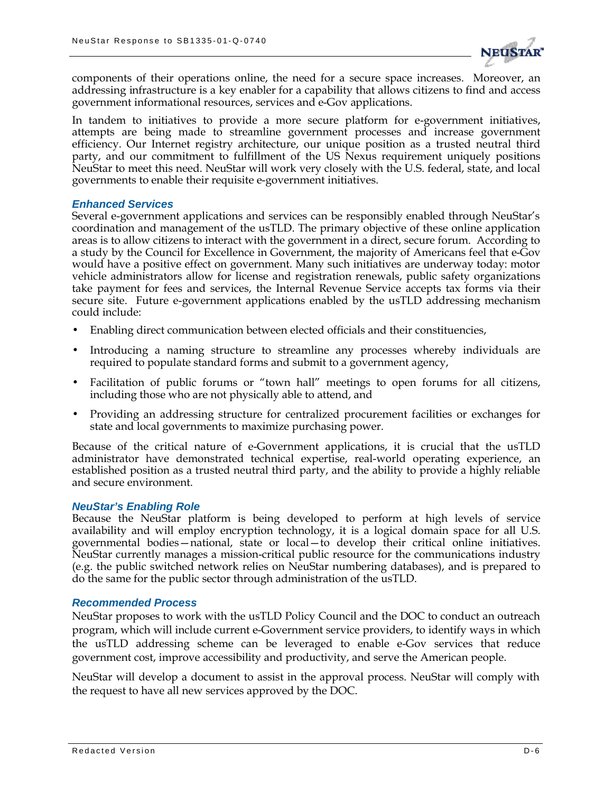

components of their operations online, the need for a secure space increases. Moreover, an addressing infrastructure is a key enabler for a capability that allows citizens to find and access government informational resources, services and e-Gov applications.

In tandem to initiatives to provide a more secure platform for e-government initiatives, attempts are being made to streamline government processes and increase government efficiency. Our Internet registry architecture, our unique position as a trusted neutral third party, and our commitment to fulfillment of the US Nexus requirement uniquely positions NeuStar to meet this need. NeuStar will work very closely with the U.S. federal, state, and local governments to enable their requisite e-government initiatives.

### *Enhanced Services*

Several e-government applications and services can be responsibly enabled through NeuStar's coordination and management of the usTLD. The primary objective of these online application areas is to allow citizens to interact with the government in a direct, secure forum. According to a study by the Council for Excellence in Government, the majority of Americans feel that e-Gov would have a positive effect on government. Many such initiatives are underway today: motor vehicle administrators allow for license and registration renewals, public safety organizations take payment for fees and services, the Internal Revenue Service accepts tax forms via their secure site. Future e-government applications enabled by the usTLD addressing mechanism could include:

- Enabling direct communication between elected officials and their constituencies,
- Introducing a naming structure to streamline any processes whereby individuals are required to populate standard forms and submit to a government agency,
- Facilitation of public forums or "town hall" meetings to open forums for all citizens, including those who are not physically able to attend, and
- Providing an addressing structure for centralized procurement facilities or exchanges for state and local governments to maximize purchasing power.

Because of the critical nature of e-Government applications, it is crucial that the usTLD administrator have demonstrated technical expertise, real-world operating experience, an established position as a trusted neutral third party, and the ability to provide a highly reliable and secure environment.

#### *NeuStar's Enabling Role*

Because the NeuStar platform is being developed to perform at high levels of service availability and will employ encryption technology, it is a logical domain space for all U.S. governmental bodies—national, state or local—to develop their critical online initiatives. NeuStar currently manages a mission-critical public resource for the communications industry (e.g. the public switched network relies on NeuStar numbering databases), and is prepared to do the same for the public sector through administration of the usTLD.

#### *Recommended Process*

NeuStar proposes to work with the usTLD Policy Council and the DOC to conduct an outreach program, which will include current e-Government service providers, to identify ways in which the usTLD addressing scheme can be leveraged to enable e-Gov services that reduce government cost, improve accessibility and productivity, and serve the American people.

NeuStar will develop a document to assist in the approval process. NeuStar will comply with the request to have all new services approved by the DOC.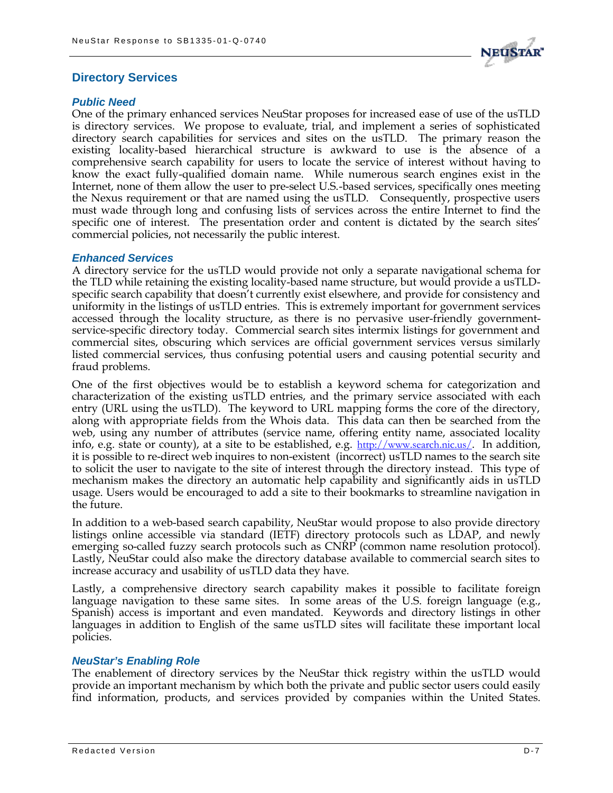

# **Directory Services**

## *Public Need*

One of the primary enhanced services NeuStar proposes for increased ease of use of the usTLD is directory services. We propose to evaluate, trial, and implement a series of sophisticated directory search capabilities for services and sites on the usTLD. The primary reason the existing locality-based hierarchical structure is awkward to use is the absence of a comprehensive search capability for users to locate the service of interest without having to know the exact fully-qualified domain name. While numerous search engines exist in the Internet, none of them allow the user to pre-select U.S.-based services, specifically ones meeting the Nexus requirement or that are named using the usTLD. Consequently, prospective users must wade through long and confusing lists of services across the entire Internet to find the specific one of interest. The presentation order and content is dictated by the search sites' commercial policies, not necessarily the public interest.

## *Enhanced Services*

A directory service for the usTLD would provide not only a separate navigational schema for the TLD while retaining the existing locality-based name structure, but would provide a usTLDspecific search capability that doesn't currently exist elsewhere, and provide for consistency and uniformity in the listings of usTLD entries. This is extremely important for government services accessed through the locality structure, as there is no pervasive user-friendly governmentservice-specific directory today. Commercial search sites intermix listings for government and commercial sites, obscuring which services are official government services versus similarly listed commercial services, thus confusing potential users and causing potential security and fraud problems.

One of the first objectives would be to establish a keyword schema for categorization and characterization of the existing usTLD entries, and the primary service associated with each entry (URL using the usTLD). The keyword to URL mapping forms the core of the directory, along with appropriate fields from the Whois data. This data can then be searched from the web, using any number of attributes (service name, offering entity name, associated locality info, e.g. state or county), at a site to be established, e.g. http://www.search.nic.us/. In addition, it is possible to re-direct web inquires to non-existent (incorrect) usTLD names to the search site to solicit the user to navigate to the site of interest through the directory instead. This type of mechanism makes the directory an automatic help capability and significantly aids in usTLD usage. Users would be encouraged to add a site to their bookmarks to streamline navigation in the future.

In addition to a web-based search capability, NeuStar would propose to also provide directory listings online accessible via standard (IETF) directory protocols such as LDAP, and newly emerging so-called fuzzy search protocols such as CNRP (common name resolution protocol). Lastly, NeuStar could also make the directory database available to commercial search sites to increase accuracy and usability of usTLD data they have.

Lastly, a comprehensive directory search capability makes it possible to facilitate foreign language navigation to these same sites. In some areas of the U.S. foreign language (e.g., Spanish) access is important and even mandated. Keywords and directory listings in other languages in addition to English of the same usTLD sites will facilitate these important local policies.

# *NeuStar's Enabling Role*

The enablement of directory services by the NeuStar thick registry within the usTLD would provide an important mechanism by which both the private and public sector users could easily find information, products, and services provided by companies within the United States.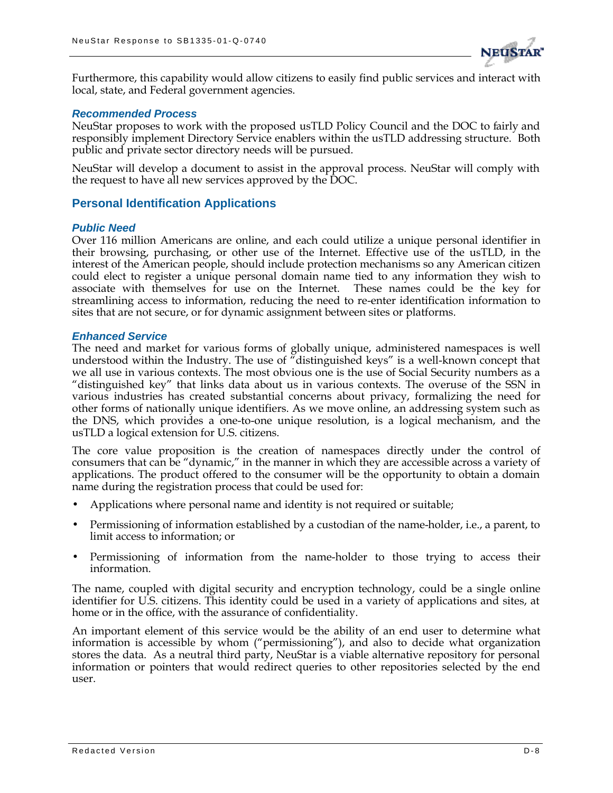

Furthermore, this capability would allow citizens to easily find public services and interact with local, state, and Federal government agencies.

#### *Recommended Process*

NeuStar proposes to work with the proposed usTLD Policy Council and the DOC to fairly and responsibly implement Directory Service enablers within the usTLD addressing structure. Both public and private sector directory needs will be pursued.

NeuStar will develop a document to assist in the approval process. NeuStar will comply with the request to have all new services approved by the DOC.

## **Personal Identification Applications**

#### *Public Need*

Over 116 million Americans are online, and each could utilize a unique personal identifier in their browsing, purchasing, or other use of the Internet. Effective use of the usTLD, in the interest of the American people, should include protection mechanisms so any American citizen could elect to register a unique personal domain name tied to any information they wish to associate with themselves for use on the Internet. These names could be the key for streamlining access to information, reducing the need to re-enter identification information to sites that are not secure, or for dynamic assignment between sites or platforms.

#### *Enhanced Service*

The need and market for various forms of globally unique, administered namespaces is well understood within the Industry. The use of "distinguished keys" is a well-known concept that we all use in various contexts. The most obvious one is the use of Social Security numbers as a "distinguished key" that links data about us in various contexts. The overuse of the SSN in various industries has created substantial concerns about privacy, formalizing the need for other forms of nationally unique identifiers. As we move online, an addressing system such as the DNS, which provides a one-to-one unique resolution, is a logical mechanism, and the usTLD a logical extension for U.S. citizens.

The core value proposition is the creation of namespaces directly under the control of consumers that can be "dynamic," in the manner in which they are accessible across a variety of applications. The product offered to the consumer will be the opportunity to obtain a domain name during the registration process that could be used for:

- Applications where personal name and identity is not required or suitable;
- Permissioning of information established by a custodian of the name-holder, i.e., a parent, to limit access to information; or
- Permissioning of information from the name-holder to those trying to access their information.

The name, coupled with digital security and encryption technology, could be a single online identifier for U.S. citizens. This identity could be used in a variety of applications and sites, at home or in the office, with the assurance of confidentiality.

An important element of this service would be the ability of an end user to determine what information is accessible by whom ("permissioning"), and also to decide what organization stores the data. As a neutral third party, NeuStar is a viable alternative repository for personal information or pointers that would redirect queries to other repositories selected by the end user.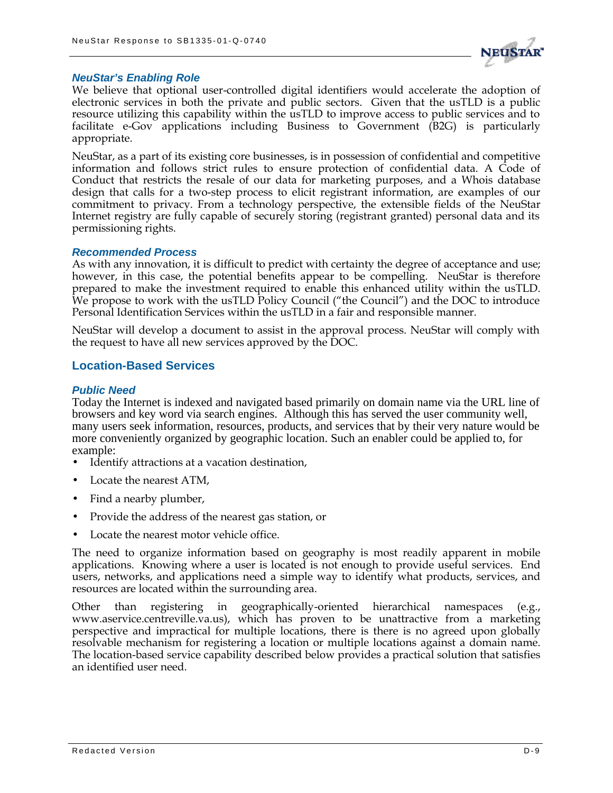

#### *NeuStar's Enabling Role*

We believe that optional user-controlled digital identifiers would accelerate the adoption of electronic services in both the private and public sectors. Given that the usTLD is a public resource utilizing this capability within the usTLD to improve access to public services and to facilitate e-Gov applications including Business to Government (B2G) is particularly appropriate.

NeuStar, as a part of its existing core businesses, is in possession of confidential and competitive information and follows strict rules to ensure protection of confidential data. A Code of Conduct that restricts the resale of our data for marketing purposes, and a Whois database design that calls for a two-step process to elicit registrant information, are examples of our commitment to privacy. From a technology perspective, the extensible fields of the NeuStar Internet registry are fully capable of securely storing (registrant granted) personal data and its permissioning rights.

#### *Recommended Process*

As with any innovation, it is difficult to predict with certainty the degree of acceptance and use; however, in this case, the potential benefits appear to be compelling. NeuStar is therefore prepared to make the investment required to enable this enhanced utility within the usTLD. We propose to work with the usTLD Policy Council ("the Council") and the DOC to introduce Personal Identification Services within the usTLD in a fair and responsible manner.

NeuStar will develop a document to assist in the approval process. NeuStar will comply with the request to have all new services approved by the DOC.

## **Location-Based Services**

### *Public Need*

Today the Internet is indexed and navigated based primarily on domain name via the URL line of browsers and key word via search engines. Although this has served the user community well, many users seek information, resources, products, and services that by their very nature would be more conveniently organized by geographic location. Such an enabler could be applied to, for example:

- Identify attractions at a vacation destination,
- Locate the nearest ATM.
- Find a nearby plumber,
- Provide the address of the nearest gas station, or
- Locate the nearest motor vehicle office.

The need to organize information based on geography is most readily apparent in mobile applications. Knowing where a user is located is not enough to provide useful services. End users, networks, and applications need a simple way to identify what products, services, and resources are located within the surrounding area.

Other than registering in geographically-oriented hierarchical namespaces (e.g., www.aservice.centreville.va.us), which has proven to be unattractive from a marketing perspective and impractical for multiple locations, there is there is no agreed upon globally resolvable mechanism for registering a location or multiple locations against a domain name. The location-based service capability described below provides a practical solution that satisfies an identified user need.